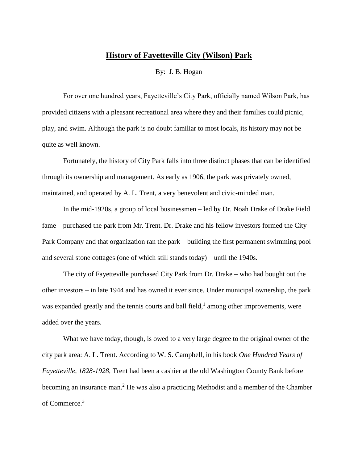## **History of Fayetteville City (Wilson) Park**

By: J. B. Hogan

For over one hundred years, Fayetteville's City Park, officially named Wilson Park, has provided citizens with a pleasant recreational area where they and their families could picnic, play, and swim. Although the park is no doubt familiar to most locals, its history may not be quite as well known.

Fortunately, the history of City Park falls into three distinct phases that can be identified through its ownership and management. As early as 1906, the park was privately owned, maintained, and operated by A. L. Trent, a very benevolent and civic-minded man.

In the mid-1920s, a group of local businessmen – led by Dr. Noah Drake of Drake Field fame – purchased the park from Mr. Trent. Dr. Drake and his fellow investors formed the City Park Company and that organization ran the park – building the first permanent swimming pool and several stone cottages (one of which still stands today) – until the 1940s.

The city of Fayetteville purchased City Park from Dr. Drake – who had bought out the other investors – in late 1944 and has owned it ever since. Under municipal ownership, the park was expanded greatly and the tennis courts and ball field, $<sup>1</sup>$  among other improvements, were</sup> added over the years.

What we have today, though, is owed to a very large degree to the original owner of the city park area: A. L. Trent. According to W. S. Campbell, in his book *One Hundred Years of Fayetteville, 1828-1928*, Trent had been a cashier at the old Washington County Bank before becoming an insurance man.<sup>2</sup> He was also a practicing Methodist and a member of the Chamber of Commerce.<sup>3</sup>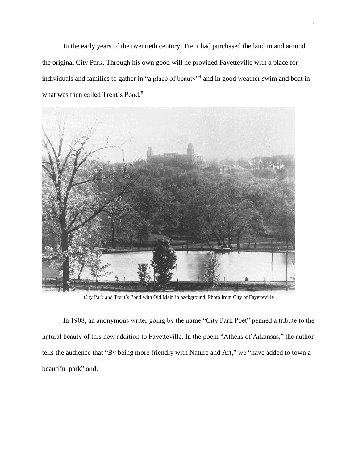In the early years of the twentieth century, Trent had purchased the land in and around the original City Park. Through his own good will he provided Fayetteville with a place for individuals and families to gather in "a place of beauty"<sup>4</sup> and in good weather swim and boat in what was then called Trent's Pond.<sup>5</sup>



City Park and Trent's Pond with Old Main in background, Photo from City of Fayetteville

In 1908, an anonymous writer going by the name "City Park Poet" penned a tribute to the natural beauty of this new addition to Fayetteville. In the poem "Athens of Arkansas," the author tells the audience that "By being more friendly with Nature and Art," we "have added to town a beautiful park" and: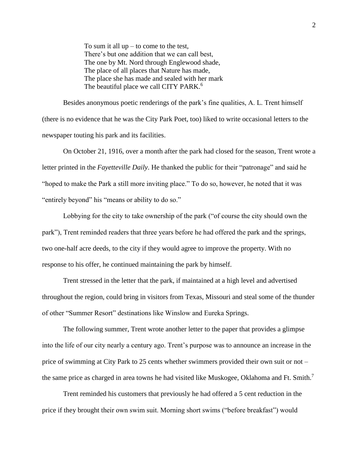To sum it all  $up$  – to come to the test, There's but one addition that we can call best, The one by Mt. Nord through Englewood shade, The place of all places that Nature has made, The place she has made and sealed with her mark The beautiful place we call CITY PARK.<sup>6</sup>

Besides anonymous poetic renderings of the park's fine qualities, A. L. Trent himself (there is no evidence that he was the City Park Poet, too) liked to write occasional letters to the newspaper touting his park and its facilities.

On October 21, 1916, over a month after the park had closed for the season, Trent wrote a letter printed in the *Fayetteville Daily*. He thanked the public for their "patronage" and said he "hoped to make the Park a still more inviting place." To do so, however, he noted that it was "entirely beyond" his "means or ability to do so."

Lobbying for the city to take ownership of the park ("of course the city should own the park"), Trent reminded readers that three years before he had offered the park and the springs, two one-half acre deeds, to the city if they would agree to improve the property. With no response to his offer, he continued maintaining the park by himself.

Trent stressed in the letter that the park, if maintained at a high level and advertised throughout the region, could bring in visitors from Texas, Missouri and steal some of the thunder of other "Summer Resort" destinations like Winslow and Eureka Springs.

The following summer, Trent wrote another letter to the paper that provides a glimpse into the life of our city nearly a century ago. Trent's purpose was to announce an increase in the price of swimming at City Park to 25 cents whether swimmers provided their own suit or not – the same price as charged in area towns he had visited like Muskogee, Oklahoma and Ft. Smith.<sup>7</sup>

Trent reminded his customers that previously he had offered a 5 cent reduction in the price if they brought their own swim suit. Morning short swims ("before breakfast") would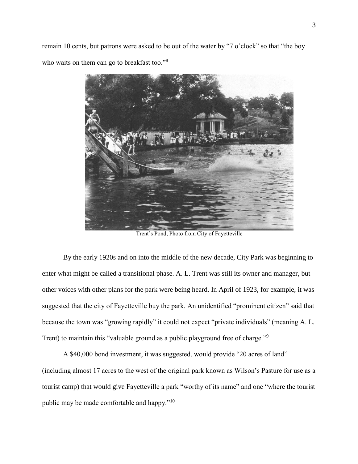remain 10 cents, but patrons were asked to be out of the water by "7 o'clock" so that "the boy who waits on them can go to breakfast too."<sup>8</sup>



Trent's Pond, Photo from City of Fayetteville

By the early 1920s and on into the middle of the new decade, City Park was beginning to enter what might be called a transitional phase. A. L. Trent was still its owner and manager, but other voices with other plans for the park were being heard. In April of 1923, for example, it was suggested that the city of Fayetteville buy the park. An unidentified "prominent citizen" said that because the town was "growing rapidly" it could not expect "private individuals" (meaning A. L. Trent) to maintain this "valuable ground as a public playground free of charge."<sup>9</sup>

A \$40,000 bond investment, it was suggested, would provide "20 acres of land" (including almost 17 acres to the west of the original park known as Wilson's Pasture for use as a tourist camp) that would give Fayetteville a park "worthy of its name" and one "where the tourist public may be made comfortable and happy."<sup>10</sup>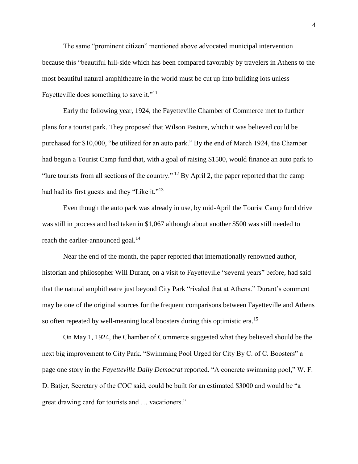The same "prominent citizen" mentioned above advocated municipal intervention because this "beautiful hill-side which has been compared favorably by travelers in Athens to the most beautiful natural amphitheatre in the world must be cut up into building lots unless Fayetteville does something to save it."<sup>11</sup>

Early the following year, 1924, the Fayetteville Chamber of Commerce met to further plans for a tourist park. They proposed that Wilson Pasture, which it was believed could be purchased for \$10,000, "be utilized for an auto park." By the end of March 1924, the Chamber had begun a Tourist Camp fund that, with a goal of raising \$1500, would finance an auto park to "lure tourists from all sections of the country." <sup>12</sup> By April 2, the paper reported that the camp had had its first guests and they "Like it."<sup>13</sup>

Even though the auto park was already in use, by mid-April the Tourist Camp fund drive was still in process and had taken in \$1,067 although about another \$500 was still needed to reach the earlier-announced goal.<sup>14</sup>

Near the end of the month, the paper reported that internationally renowned author, historian and philosopher Will Durant, on a visit to Fayetteville "several years" before, had said that the natural amphitheatre just beyond City Park "rivaled that at Athens." Durant's comment may be one of the original sources for the frequent comparisons between Fayetteville and Athens so often repeated by well-meaning local boosters during this optimistic era.<sup>15</sup>

On May 1, 1924, the Chamber of Commerce suggested what they believed should be the next big improvement to City Park. "Swimming Pool Urged for City By C. of C. Boosters" a page one story in the *Fayetteville Daily Democrat* reported. "A concrete swimming pool," W. F. D. Batjer, Secretary of the COC said, could be built for an estimated \$3000 and would be "a great drawing card for tourists and … vacationers."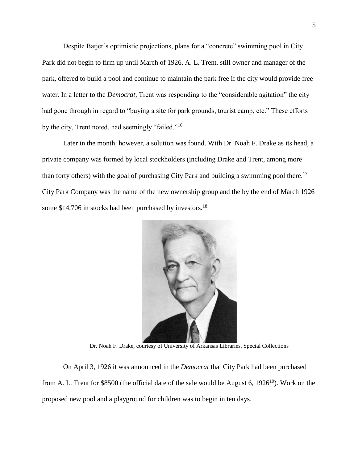Despite Batjer's optimistic projections, plans for a "concrete" swimming pool in City Park did not begin to firm up until March of 1926. A. L. Trent, still owner and manager of the park, offered to build a pool and continue to maintain the park free if the city would provide free water. In a letter to the *Democrat*, Trent was responding to the "considerable agitation" the city had gone through in regard to "buying a site for park grounds, tourist camp, etc." These efforts by the city, Trent noted, had seemingly "failed."<sup>16</sup>

Later in the month, however, a solution was found. With Dr. Noah F. Drake as its head, a private company was formed by local stockholders (including Drake and Trent, among more than forty others) with the goal of purchasing City Park and building a swimming pool there.<sup>17</sup> City Park Company was the name of the new ownership group and the by the end of March 1926 some \$14,706 in stocks had been purchased by investors.<sup>18</sup>



Dr. Noah F. Drake, courtesy of University of Arkansas Libraries, Special Collections

On April 3, 1926 it was announced in the *Democrat* that City Park had been purchased from A. L. Trent for \$8500 (the official date of the sale would be August 6,  $1926^{19}$ ). Work on the proposed new pool and a playground for children was to begin in ten days.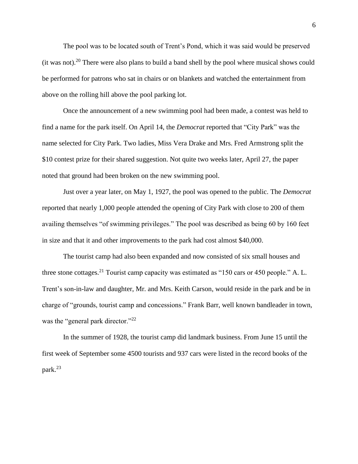The pool was to be located south of Trent's Pond, which it was said would be preserved (it was not).<sup>20</sup> There were also plans to build a band shell by the pool where musical shows could be performed for patrons who sat in chairs or on blankets and watched the entertainment from above on the rolling hill above the pool parking lot.

Once the announcement of a new swimming pool had been made, a contest was held to find a name for the park itself. On April 14, the *Democrat* reported that "City Park" was the name selected for City Park. Two ladies, Miss Vera Drake and Mrs. Fred Armstrong split the \$10 contest prize for their shared suggestion. Not quite two weeks later, April 27, the paper noted that ground had been broken on the new swimming pool.

Just over a year later, on May 1, 1927, the pool was opened to the public. The *Democrat* reported that nearly 1,000 people attended the opening of City Park with close to 200 of them availing themselves "of swimming privileges." The pool was described as being 60 by 160 feet in size and that it and other improvements to the park had cost almost \$40,000.

The tourist camp had also been expanded and now consisted of six small houses and three stone cottages.<sup>21</sup> Tourist camp capacity was estimated as "150 cars or 450 people." A. L. Trent's son-in-law and daughter, Mr. and Mrs. Keith Carson, would reside in the park and be in charge of "grounds, tourist camp and concessions." Frank Barr, well known bandleader in town, was the "general park director."<sup>22</sup>

In the summer of 1928, the tourist camp did landmark business. From June 15 until the first week of September some 4500 tourists and 937 cars were listed in the record books of the park. 23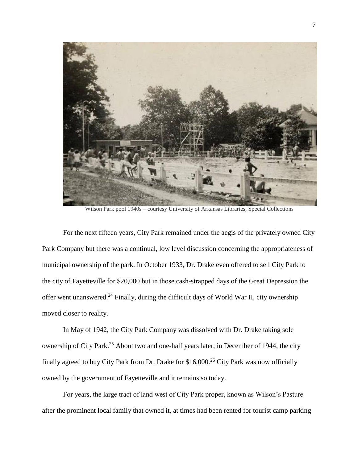

Wilson Park pool 1940s – courtesy University of Arkansas Libraries, Special Collections

For the next fifteen years, City Park remained under the aegis of the privately owned City Park Company but there was a continual, low level discussion concerning the appropriateness of municipal ownership of the park. In October 1933, Dr. Drake even offered to sell City Park to the city of Fayetteville for \$20,000 but in those cash-strapped days of the Great Depression the offer went unanswered.<sup>24</sup> Finally, during the difficult days of World War II, city ownership moved closer to reality.

In May of 1942, the City Park Company was dissolved with Dr. Drake taking sole ownership of City Park.<sup>25</sup> About two and one-half years later, in December of 1944, the city finally agreed to buy City Park from Dr. Drake for  $$16,000.<sup>26</sup>$  City Park was now officially owned by the government of Fayetteville and it remains so today.

For years, the large tract of land west of City Park proper, known as Wilson's Pasture after the prominent local family that owned it, at times had been rented for tourist camp parking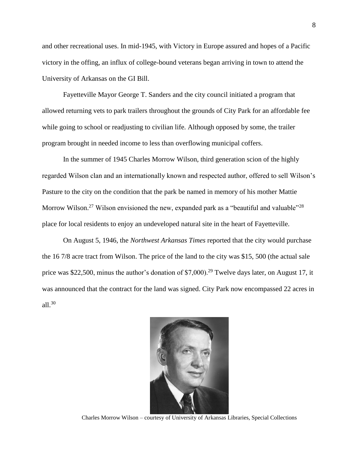and other recreational uses. In mid-1945, with Victory in Europe assured and hopes of a Pacific victory in the offing, an influx of college-bound veterans began arriving in town to attend the University of Arkansas on the GI Bill.

Fayetteville Mayor George T. Sanders and the city council initiated a program that allowed returning vets to park trailers throughout the grounds of City Park for an affordable fee while going to school or readjusting to civilian life. Although opposed by some, the trailer program brought in needed income to less than overflowing municipal coffers.

In the summer of 1945 Charles Morrow Wilson, third generation scion of the highly regarded Wilson clan and an internationally known and respected author, offered to sell Wilson's Pasture to the city on the condition that the park be named in memory of his mother Mattie Morrow Wilson.<sup>27</sup> Wilson envisioned the new, expanded park as a "beautiful and valuable"<sup>28</sup> place for local residents to enjoy an undeveloped natural site in the heart of Fayetteville.

On August 5, 1946, the *Northwest Arkansas Times* reported that the city would purchase the 16 7/8 acre tract from Wilson. The price of the land to the city was \$15, 500 (the actual sale price was \$22,500, minus the author's donation of \$7,000).<sup>29</sup> Twelve days later, on August 17, it was announced that the contract for the land was signed. City Park now encompassed 22 acres in all.<sup>30</sup>



Charles Morrow Wilson – courtesy of University of Arkansas Libraries, Special Collections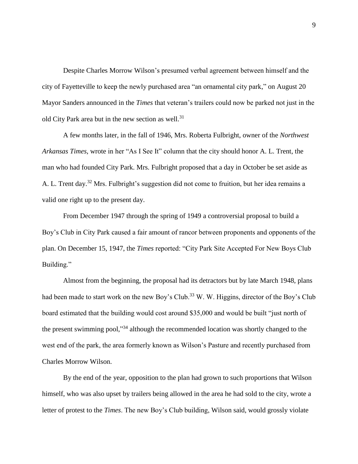Despite Charles Morrow Wilson's presumed verbal agreement between himself and the city of Fayetteville to keep the newly purchased area "an ornamental city park," on August 20 Mayor Sanders announced in the *Times* that veteran's trailers could now be parked not just in the old City Park area but in the new section as well.<sup>31</sup>

A few months later, in the fall of 1946, Mrs. Roberta Fulbright, owner of the *Northwest Arkansas Times*, wrote in her "As I See It" column that the city should honor A. L. Trent, the man who had founded City Park. Mrs. Fulbright proposed that a day in October be set aside as A. L. Trent day.<sup>32</sup> Mrs. Fulbright's suggestion did not come to fruition, but her idea remains a valid one right up to the present day.

From December 1947 through the spring of 1949 a controversial proposal to build a Boy's Club in City Park caused a fair amount of rancor between proponents and opponents of the plan. On December 15, 1947, the *Times* reported: "City Park Site Accepted For New Boys Club Building."

Almost from the beginning, the proposal had its detractors but by late March 1948, plans had been made to start work on the new Boy's Club.<sup>33</sup> W. W. Higgins, director of the Boy's Club board estimated that the building would cost around \$35,000 and would be built "just north of the present swimming pool,"<sup>34</sup> although the recommended location was shortly changed to the west end of the park, the area formerly known as Wilson's Pasture and recently purchased from Charles Morrow Wilson.

By the end of the year, opposition to the plan had grown to such proportions that Wilson himself, who was also upset by trailers being allowed in the area he had sold to the city, wrote a letter of protest to the *Times*. The new Boy's Club building, Wilson said, would grossly violate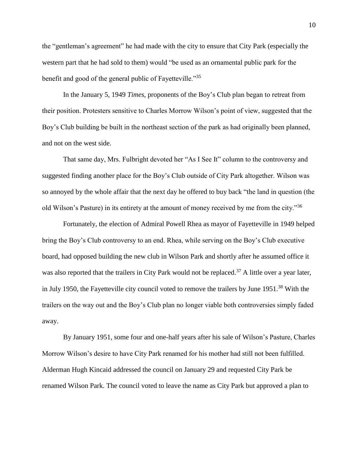the "gentleman's agreement" he had made with the city to ensure that City Park (especially the western part that he had sold to them) would "be used as an ornamental public park for the benefit and good of the general public of Fayetteville."<sup>35</sup>

In the January 5, 1949 *Times*, proponents of the Boy's Club plan began to retreat from their position. Protesters sensitive to Charles Morrow Wilson's point of view, suggested that the Boy's Club building be built in the northeast section of the park as had originally been planned, and not on the west side.

That same day, Mrs. Fulbright devoted her "As I See It" column to the controversy and suggested finding another place for the Boy's Club outside of City Park altogether. Wilson was so annoyed by the whole affair that the next day he offered to buy back "the land in question (the old Wilson's Pasture) in its entirety at the amount of money received by me from the city."<sup>36</sup>

Fortunately, the election of Admiral Powell Rhea as mayor of Fayetteville in 1949 helped bring the Boy's Club controversy to an end. Rhea, while serving on the Boy's Club executive board, had opposed building the new club in Wilson Park and shortly after he assumed office it was also reported that the trailers in City Park would not be replaced.<sup>37</sup> A little over a year later, in July 1950, the Fayetteville city council voted to remove the trailers by June 1951.<sup>38</sup> With the trailers on the way out and the Boy's Club plan no longer viable both controversies simply faded away.

By January 1951, some four and one-half years after his sale of Wilson's Pasture, Charles Morrow Wilson's desire to have City Park renamed for his mother had still not been fulfilled. Alderman Hugh Kincaid addressed the council on January 29 and requested City Park be renamed Wilson Park. The council voted to leave the name as City Park but approved a plan to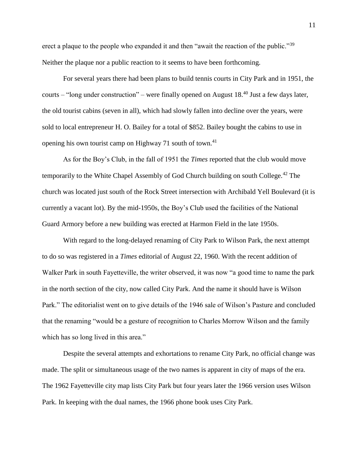erect a plaque to the people who expanded it and then "await the reaction of the public."<sup>39</sup> Neither the plaque nor a public reaction to it seems to have been forthcoming.

For several years there had been plans to build tennis courts in City Park and in 1951, the courts – "long under construction" – were finally opened on August 18.<sup>40</sup> Just a few days later, the old tourist cabins (seven in all), which had slowly fallen into decline over the years, were sold to local entrepreneur H. O. Bailey for a total of \$852. Bailey bought the cabins to use in opening his own tourist camp on Highway 71 south of town.<sup>41</sup>

As for the Boy's Club, in the fall of 1951 the *Times* reported that the club would move temporarily to the White Chapel Assembly of God Church building on south College.<sup>42</sup> The church was located just south of the Rock Street intersection with Archibald Yell Boulevard (it is currently a vacant lot). By the mid-1950s, the Boy's Club used the facilities of the National Guard Armory before a new building was erected at Harmon Field in the late 1950s.

With regard to the long-delayed renaming of City Park to Wilson Park, the next attempt to do so was registered in a *Times* editorial of August 22, 1960. With the recent addition of Walker Park in south Fayetteville, the writer observed, it was now "a good time to name the park in the north section of the city, now called City Park. And the name it should have is Wilson Park." The editorialist went on to give details of the 1946 sale of Wilson's Pasture and concluded that the renaming "would be a gesture of recognition to Charles Morrow Wilson and the family which has so long lived in this area."

Despite the several attempts and exhortations to rename City Park, no official change was made. The split or simultaneous usage of the two names is apparent in city of maps of the era. The 1962 Fayetteville city map lists City Park but four years later the 1966 version uses Wilson Park. In keeping with the dual names, the 1966 phone book uses City Park.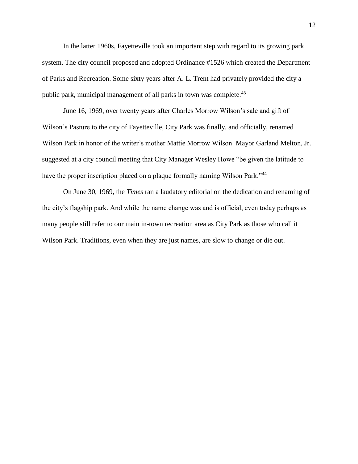In the latter 1960s, Fayetteville took an important step with regard to its growing park system. The city council proposed and adopted Ordinance #1526 which created the Department of Parks and Recreation. Some sixty years after A. L. Trent had privately provided the city a public park, municipal management of all parks in town was complete.<sup>43</sup>

June 16, 1969, over twenty years after Charles Morrow Wilson's sale and gift of Wilson's Pasture to the city of Fayetteville, City Park was finally, and officially, renamed Wilson Park in honor of the writer's mother Mattie Morrow Wilson. Mayor Garland Melton, Jr. suggested at a city council meeting that City Manager Wesley Howe "be given the latitude to have the proper inscription placed on a plaque formally naming Wilson Park."<sup>44</sup>

On June 30, 1969, the *Times* ran a laudatory editorial on the dedication and renaming of the city's flagship park. And while the name change was and is official, even today perhaps as many people still refer to our main in-town recreation area as City Park as those who call it Wilson Park. Traditions, even when they are just names, are slow to change or die out.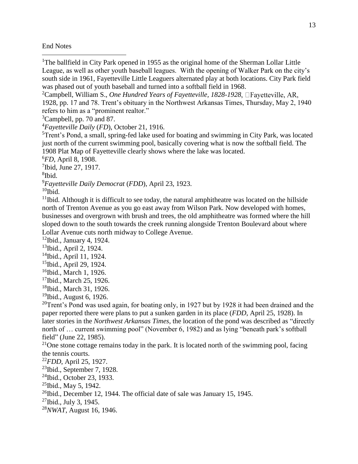## End Notes

 $\overline{a}$ 

<sup>1</sup>The ballfield in City Park opened in 1955 as the original home of the Sherman Lollar Little League, as well as other youth baseball leagues. With the opening of Walker Park on the city's south side in 1961, Fayetteville Little Leaguers alternated play at both locations. City Park field was phased out of youth baseball and turned into a softball field in 1968.

<sup>2</sup>Campbell, William S., *One Hundred Years of Fayetteville, 1828-1928* 1928, pp. 17 and 78. Trent's obituary in the Northwest Arkansas Times, Thursday, May 2, 1940 refers to him as a "prominent realtor."

<sup>3</sup>Campbell, pp. 70 and 87.

<sup>4</sup>*Fayetteville Daily* (*FD*), October 21, 1916.

<sup>5</sup>Trent's Pond, a small, spring-fed lake used for boating and swimming in City Park, was located just north of the current swimming pool, basically covering what is now the softball field. The 1908 Plat Map of Fayetteville clearly shows where the lake was located.

<sup>6</sup>*FD*, April 8, 1908.

7 Ibid, June 27, 1917.

8 Ibid.

<sup>9</sup>*Fayetteville Daily Democrat* (*FDD*), April 23, 1923.

 $10$ Ibid.

 $11$ Ibid. Although it is difficult to see today, the natural amphitheatre was located on the hillside north of Trenton Avenue as you go east away from Wilson Park. Now developed with homes, businesses and overgrown with brush and trees, the old amphitheatre was formed where the hill sloped down to the south towards the creek running alongside Trenton Boulevard about where Lollar Avenue cuts north midway to College Avenue.

 $12$ Ibid., January 4, 1924.

<sup>13</sup>Ibid., April 2, 1924.

 $14$ Ibid., April 11, 1924.

- $15$ Ibid., April 29, 1924.
- $16$ Ibid., March 1, 1926.
- <sup>17</sup>Ibid., March 25, 1926.
- <sup>18</sup>Ibid., March 31, 1926.

 $19$ Ibid., August 6, 1926.

 $20$ Trent's Pond was used again, for boating only, in 1927 but by 1928 it had been drained and the paper reported there were plans to put a sunken garden in its place (*FDD*, April 25, 1928). In later stories in the *Northwest Arkansas Times*, the location of the pond was described as "directly north of … current swimming pool" (November 6, 1982) and as lying "beneath park's softball field" (June 22, 1985).

<sup>21</sup>One stone cottage remains today in the park. It is located north of the swimming pool, facing the tennis courts.

<sup>22</sup>*FDD*, April 25, 1927.

 $23$ Ibid., September 7, 1928.

<sup>24</sup>Ibid., October 23, 1933.

 $^{25}$ Ibid., May 5, 1942.

 $26$ Ibid., December 12, 1944. The official date of sale was January 15, 1945.

<sup>27</sup>Ibid., July 3, 1945.

<sup>28</sup>*NWAT*, August 16, 1946.